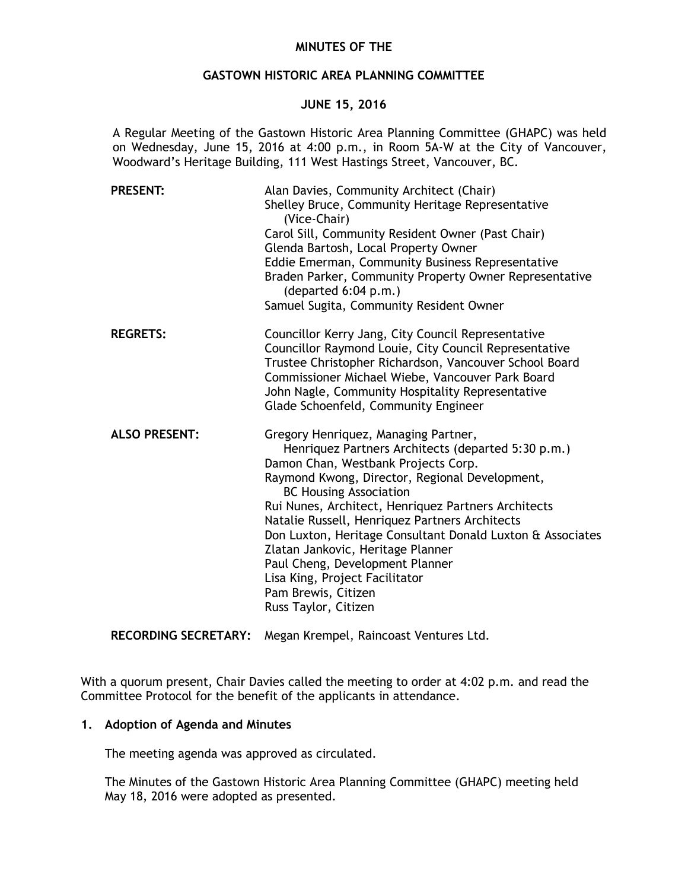## **MINUTES OF THE**

## **GASTOWN HISTORIC AREA PLANNING COMMITTEE**

## **JUNE 15, 2016**

A Regular Meeting of the Gastown Historic Area Planning Committee (GHAPC) was held on Wednesday, June 15, 2016 at 4:00 p.m., in Room 5A-W at the City of Vancouver, Woodward's Heritage Building, 111 West Hastings Street, Vancouver, BC.

| <b>PRESENT:</b>      | Alan Davies, Community Architect (Chair)<br>Shelley Bruce, Community Heritage Representative<br>(Vice-Chair)<br>Carol Sill, Community Resident Owner (Past Chair)<br>Glenda Bartosh, Local Property Owner<br>Eddie Emerman, Community Business Representative<br>Braden Parker, Community Property Owner Representative<br>(departed 6:04 p.m.)<br>Samuel Sugita, Community Resident Owner                                                                                                                                                           |
|----------------------|------------------------------------------------------------------------------------------------------------------------------------------------------------------------------------------------------------------------------------------------------------------------------------------------------------------------------------------------------------------------------------------------------------------------------------------------------------------------------------------------------------------------------------------------------|
| <b>REGRETS:</b>      | Councillor Kerry Jang, City Council Representative<br>Councillor Raymond Louie, City Council Representative<br>Trustee Christopher Richardson, Vancouver School Board<br>Commissioner Michael Wiebe, Vancouver Park Board<br>John Nagle, Community Hospitality Representative<br>Glade Schoenfeld, Community Engineer                                                                                                                                                                                                                                |
| <b>ALSO PRESENT:</b> | Gregory Henriquez, Managing Partner,<br>Henriquez Partners Architects (departed 5:30 p.m.)<br>Damon Chan, Westbank Projects Corp.<br>Raymond Kwong, Director, Regional Development,<br><b>BC Housing Association</b><br>Rui Nunes, Architect, Henriquez Partners Architects<br>Natalie Russell, Henriquez Partners Architects<br>Don Luxton, Heritage Consultant Donald Luxton & Associates<br>Zlatan Jankovic, Heritage Planner<br>Paul Cheng, Development Planner<br>Lisa King, Project Facilitator<br>Pam Brewis, Citizen<br>Russ Taylor, Citizen |

**RECORDING SECRETARY:** Megan Krempel, Raincoast Ventures Ltd.

With a quorum present, Chair Davies called the meeting to order at 4:02 p.m. and read the Committee Protocol for the benefit of the applicants in attendance.

# **1. Adoption of Agenda and Minutes**

The meeting agenda was approved as circulated.

The Minutes of the Gastown Historic Area Planning Committee (GHAPC) meeting held May 18, 2016 were adopted as presented.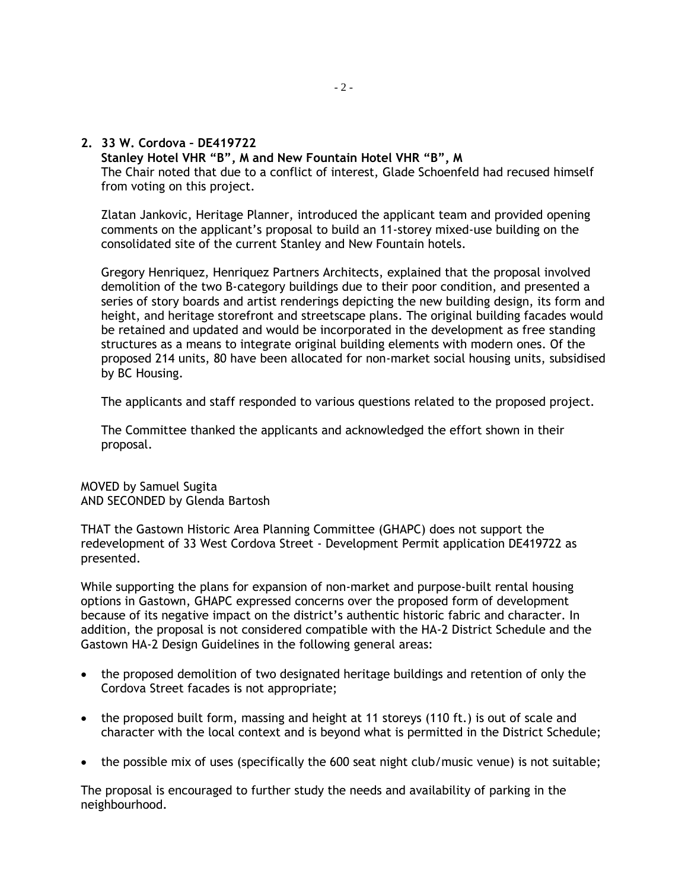**2. 33 W. Cordova – DE419722** 

**Stanley Hotel VHR "B", M and New Fountain Hotel VHR "B", M** The Chair noted that due to a conflict of interest, Glade Schoenfeld had recused himself from voting on this project.

Zlatan Jankovic, Heritage Planner, introduced the applicant team and provided opening comments on the applicant's proposal to build an 11-storey mixed-use building on the consolidated site of the current Stanley and New Fountain hotels.

Gregory Henriquez, Henriquez Partners Architects, explained that the proposal involved demolition of the two B-category buildings due to their poor condition, and presented a series of story boards and artist renderings depicting the new building design, its form and height, and heritage storefront and streetscape plans. The original building facades would be retained and updated and would be incorporated in the development as free standing structures as a means to integrate original building elements with modern ones. Of the proposed 214 units, 80 have been allocated for non-market social housing units, subsidised by BC Housing.

The applicants and staff responded to various questions related to the proposed project.

The Committee thanked the applicants and acknowledged the effort shown in their proposal.

MOVED by Samuel Sugita AND SECONDED by Glenda Bartosh

THAT the Gastown Historic Area Planning Committee (GHAPC) does not support the redevelopment of 33 West Cordova Street - Development Permit application DE419722 as presented.

While supporting the plans for expansion of non-market and purpose-built rental housing options in Gastown, GHAPC expressed concerns over the proposed form of development because of its negative impact on the district's authentic historic fabric and character. In addition, the proposal is not considered compatible with the HA-2 District Schedule and the Gastown HA-2 Design Guidelines in the following general areas:

- the proposed demolition of two designated heritage buildings and retention of only the Cordova Street facades is not appropriate;
- the proposed built form, massing and height at 11 storeys (110 ft.) is out of scale and character with the local context and is beyond what is permitted in the District Schedule;
- the possible mix of uses (specifically the 600 seat night club/music venue) is not suitable;

The proposal is encouraged to further study the needs and availability of parking in the neighbourhood.